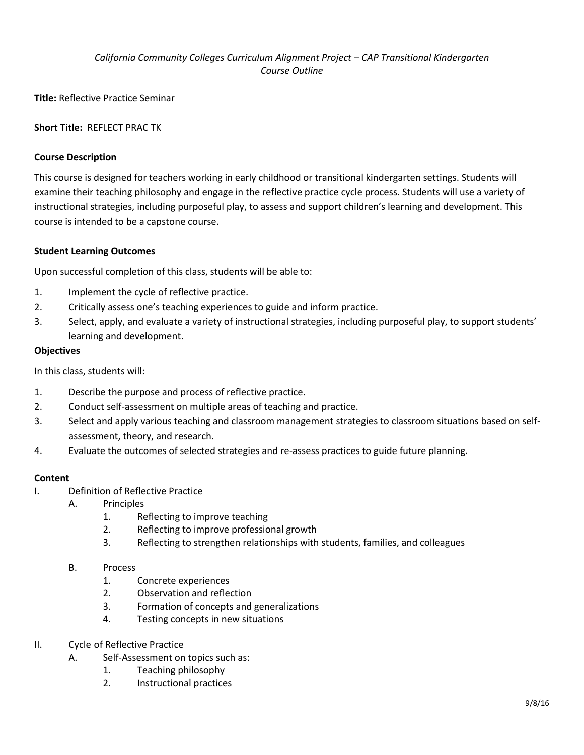# *California Community Colleges Curriculum Alignment Project – CAP Transitional Kindergarten Course Outline*

**Title:** Reflective Practice Seminar

## **Short Title:** REFLECT PRAC TK

## **Course Description**

This course is designed for teachers working in early childhood or transitional kindergarten settings. Students will examine their teaching philosophy and engage in the reflective practice cycle process. Students will use a variety of instructional strategies, including purposeful play, to assess and support children's learning and development. This course is intended to be a capstone course.

### **Student Learning Outcomes**

Upon successful completion of this class, students will be able to:

- 1. Implement the cycle of reflective practice.
- 2. Critically assess one's teaching experiences to guide and inform practice.
- 3. Select, apply, and evaluate a variety of instructional strategies, including purposeful play, to support students' learning and development.

### **Objectives**

In this class, students will:

- 1. Describe the purpose and process of reflective practice.
- 2. Conduct self-assessment on multiple areas of teaching and practice.
- 3. Select and apply various teaching and classroom management strategies to classroom situations based on selfassessment, theory, and research.
- 4. Evaluate the outcomes of selected strategies and re-assess practices to guide future planning.

### **Content**

- I. Definition of Reflective Practice
	- A. Principles
		- 1. Reflecting to improve teaching
		- 2. Reflecting to improve professional growth
		- 3. Reflecting to strengthen relationships with students, families, and colleagues
	- B. Process
		- 1. Concrete experiences
		- 2. Observation and reflection
		- 3. Formation of concepts and generalizations
		- 4. Testing concepts in new situations
- II. Cycle of Reflective Practice
	- A. Self-Assessment on topics such as:
		- 1. Teaching philosophy
		- 2. Instructional practices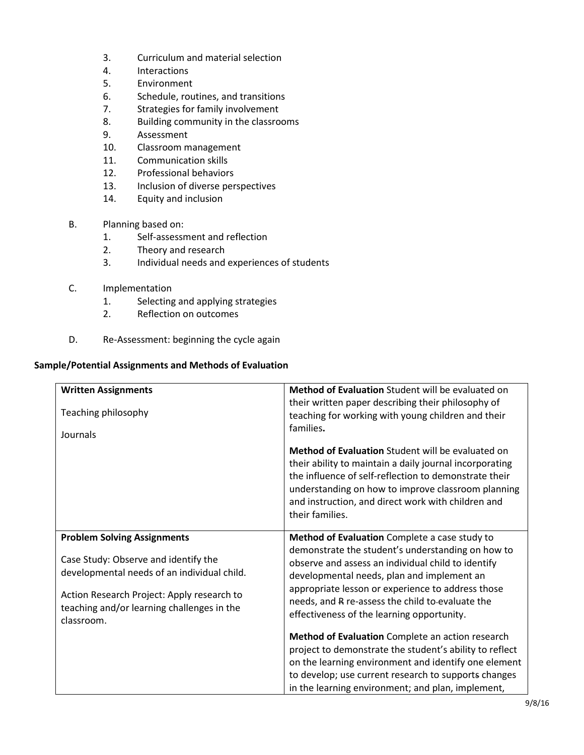- 3. Curriculum and material selection
- 4. Interactions
- 5. Environment
- 6. Schedule, routines, and transitions
- 7. Strategies for family involvement
- 8. Building community in the classrooms
- 9. Assessment
- 10. Classroom management
- 11. Communication skills
- 12. Professional behaviors
- 13. Inclusion of diverse perspectives
- 14. Equity and inclusion
- B. Planning based on:
	- 1. Self-assessment and reflection
	- 2. Theory and research
	- 3. Individual needs and experiences of students
- C. Implementation
	- 1. Selecting and applying strategies
	- 2. Reflection on outcomes
- D. Re-Assessment: beginning the cycle again

#### **Sample/Potential Assignments and Methods of Evaluation**

| <b>Written Assignments</b><br>Teaching philosophy<br>Journals                                                                                                                                                                       | <b>Method of Evaluation</b> Student will be evaluated on<br>their written paper describing their philosophy of<br>teaching for working with young children and their<br>families.                                                                                                                                                                                                                                                                                                                                                                                                                                                                 |
|-------------------------------------------------------------------------------------------------------------------------------------------------------------------------------------------------------------------------------------|---------------------------------------------------------------------------------------------------------------------------------------------------------------------------------------------------------------------------------------------------------------------------------------------------------------------------------------------------------------------------------------------------------------------------------------------------------------------------------------------------------------------------------------------------------------------------------------------------------------------------------------------------|
|                                                                                                                                                                                                                                     | <b>Method of Evaluation</b> Student will be evaluated on<br>their ability to maintain a daily journal incorporating<br>the influence of self-reflection to demonstrate their<br>understanding on how to improve classroom planning<br>and instruction, and direct work with children and<br>their families.                                                                                                                                                                                                                                                                                                                                       |
| <b>Problem Solving Assignments</b><br>Case Study: Observe and identify the<br>developmental needs of an individual child.<br>Action Research Project: Apply research to<br>teaching and/or learning challenges in the<br>classroom. | Method of Evaluation Complete a case study to<br>demonstrate the student's understanding on how to<br>observe and assess an individual child to identify<br>developmental needs, plan and implement an<br>appropriate lesson or experience to address those<br>needs, and R re-assess the child to-evaluate the<br>effectiveness of the learning opportunity.<br>Method of Evaluation Complete an action research<br>project to demonstrate the student's ability to reflect<br>on the learning environment and identify one element<br>to develop; use current research to supports changes<br>in the learning environment; and plan, implement, |